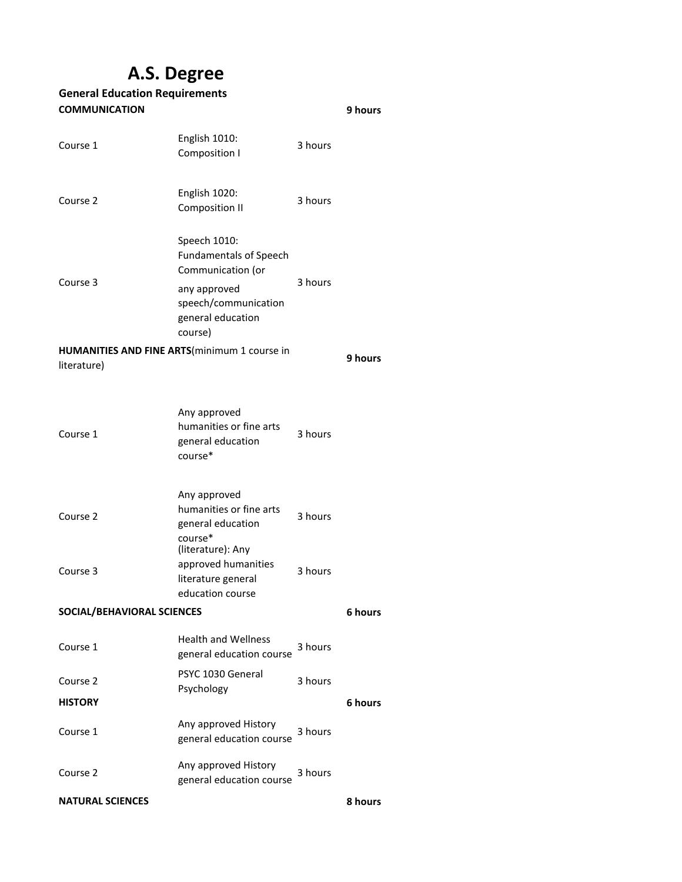# **A.S. Degree**

## **9 hours** Course 1 English 1010: Composition I 3 hours Course 2 English 1020: Composition II 3 hours Speech 1010: Fundamentals of Speech Communication (or any approved Course 3 3 hours speech/communication general education course) **9 hours** Course 1 Any approved humanities or fine arts general education course\* 3 hours Course 2 Any approved humanities or fine arts general education course\* 3 hours Course 3 (literature): Any approved humanities literature general education course 3 hours **6 hours** Course 1 Health and Wellness general education course 3 hours Course 2 PSYC 1030 General Psychology 3 hours **6 hours** Course 1 Any approved History general education course 3 hours Course 2 Any approved History Any approved ristory<br>general education course<br>general education course **General Education Requirements COMMUNICATION HUMANITIES AND FINE ARTS**(minimum 1 course in literature) **SOCIAL/BEHAVIORAL SCIENCES HISTORY NATURAL SCIENCES**

**8 hours**